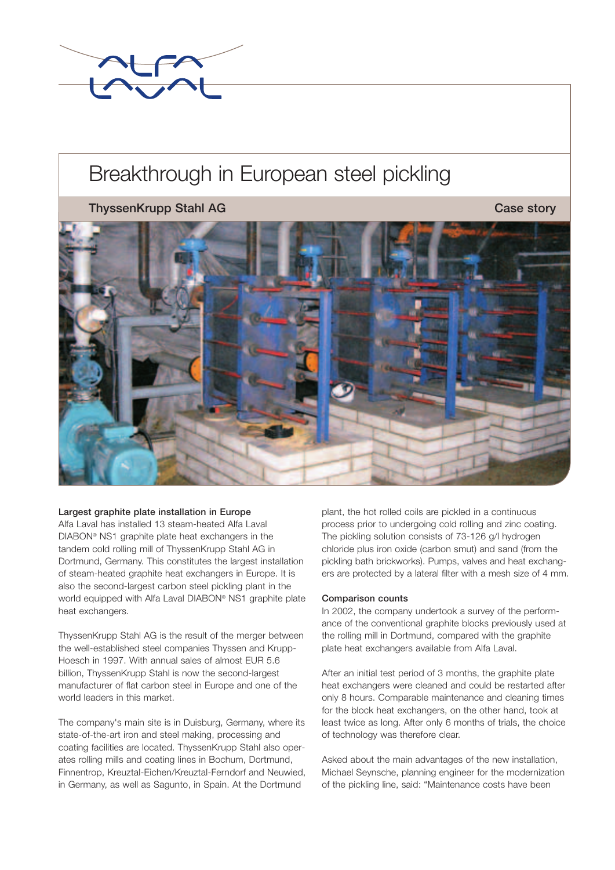

# Breakthrough in European steel pickling

## **ThyssenKrupp Stahl AG Case story** Case story



#### **Largest graphite plate installation in Europe**

Alfa Laval has installed 13 steam-heated Alfa Laval DIABON® NS1 graphite plate heat exchangers in the tandem cold rolling mill of ThyssenKrupp Stahl AG in Dortmund, Germany. This constitutes the largest installation of steam-heated graphite heat exchangers in Europe. It is also the second-largest carbon steel pickling plant in the world equipped with Alfa Laval DIABON® NS1 graphite plate heat exchangers.

ThyssenKrupp Stahl AG is the result of the merger between the well-established steel companies Thyssen and Krupp-Hoesch in 1997. With annual sales of almost EUR 5.6 billion, ThyssenKrupp Stahl is now the second-largest manufacturer of flat carbon steel in Europe and one of the world leaders in this market.

The company's main site is in Duisburg, Germany, where its state-of-the-art iron and steel making, processing and coating facilities are located. ThyssenKrupp Stahl also operates rolling mills and coating lines in Bochum, Dortmund, Finnentrop, Kreuztal-Eichen/Kreuztal-Ferndorf and Neuwied, in Germany, as well as Sagunto, in Spain. At the Dortmund

plant, the hot rolled coils are pickled in a continuous process prior to undergoing cold rolling and zinc coating. The pickling solution consists of 73-126 g/l hydrogen chloride plus iron oxide (carbon smut) and sand (from the pickling bath brickworks). Pumps, valves and heat exchangers are protected by a lateral filter with a mesh size of 4 mm.

#### **Comparison counts**

In 2002, the company undertook a survey of the performance of the conventional graphite blocks previously used at the rolling mill in Dortmund, compared with the graphite plate heat exchangers available from Alfa Laval.

After an initial test period of 3 months, the graphite plate heat exchangers were cleaned and could be restarted after only 8 hours. Comparable maintenance and cleaning times for the block heat exchangers, on the other hand, took at least twice as long. After only 6 months of trials, the choice of technology was therefore clear.

Asked about the main advantages of the new installation, Michael Seynsche, planning engineer for the modernization of the pickling line, said: "Maintenance costs have been